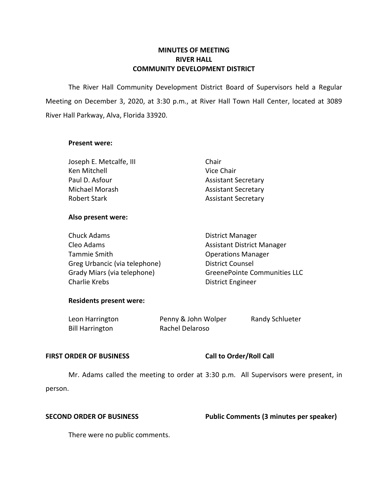# **MINUTES OF MEETING RIVER HALL COMMUNITY DEVELOPMENT DISTRICT**

 The River Hall Community Development District Board of Supervisors held a Regular Meeting on December 3, 2020, at 3:30 p.m., at River Hall Town Hall Center, located at 3089 River Hall Parkway, Alva, Florida 33920.

### **Present were:**

| Joseph E. Metcalfe, III | Chair                      |
|-------------------------|----------------------------|
| Ken Mitchell            | Vice Chair                 |
| Paul D. Asfour          | <b>Assistant Secretary</b> |
| Michael Morash          | <b>Assistant Secretary</b> |
| Robert Stark            | <b>Assistant Secretary</b> |

# **Also present were:**

| <b>Chuck Adams</b>            | <b>District Manager</b>             |
|-------------------------------|-------------------------------------|
| Cleo Adams                    | <b>Assistant District Manager</b>   |
| Tammie Smith                  | <b>Operations Manager</b>           |
| Greg Urbancic (via telephone) | <b>District Counsel</b>             |
| Grady Miars (via telephone)   | <b>GreenePointe Communities LLC</b> |
| Charlie Krebs                 | <b>District Engineer</b>            |

### **Residents present were:**

| Leon Harrington        | Penny & John Wolper | Randy Schlueter |
|------------------------|---------------------|-----------------|
| <b>Bill Harrington</b> | Rachel Delaroso     |                 |

### FIRST ORDER OF BUSINESS Call to Order/Roll Call

 Mr. Adams called the meeting to order at 3:30 p.m. All Supervisors were present, in person.

**SECOND ORDER OF BUSINESS** Public Comments (3 minutes per speaker)

There were no public comments.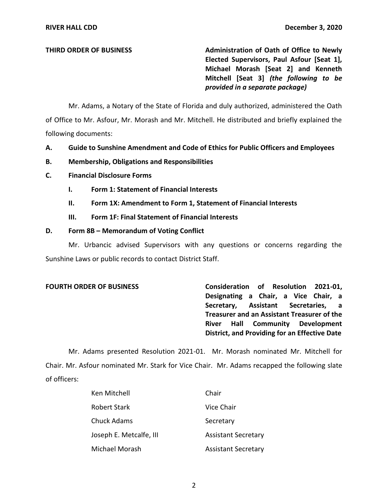**THIRD ORDER OF BUSINESS** Administration of Oath of Office to Newly  **Elected Supervisors, Paul Asfour [Seat 1], Michael Morash [Seat 2] and Kenneth Mitchell [Seat 3]** *(the following to be provided in a separate package)* 

 Mr. Adams, a Notary of the State of Florida and duly authorized, administered the Oath of Office to Mr. Asfour, Mr. Morash and Mr. Mitchell. He distributed and briefly explained the following documents:

- **A. Guide to Sunshine Amendment and Code of Ethics for Public Officers and Employees**
- **B. Membership, Obligations and Responsibilities**
- **C. Financial Disclosure Forms** 
	- **I. Form 1: Statement of Financial Interests**
	- **II. Form 1X: Amendment to Form 1, Statement of Financial Interests**
	- **III. Form 1F: Final Statement of Financial Interests**

## **D. Form 8B – Memorandum of Voting Conflict**

 Mr. Urbancic advised Supervisors with any questions or concerns regarding the Sunshine Laws or public records to contact District Staff.

FOURTH ORDER OF BUSINESS **Consideration of Resolution 2021-01**,  **Designating a Chair, a Vice Chair, a Secretary, Assistant Secretaries, a Treasurer and an Assistant Treasurer of the River Hall Community Development District, and Providing for an Effective Date** 

 Mr. Adams presented Resolution 2021-01. Mr. Morash nominated Mr. Mitchell for Chair. Mr. Asfour nominated Mr. Stark for Vice Chair. Mr. Adams recapped the following slate of officers:

| Ken Mitchell            | Chair                      |
|-------------------------|----------------------------|
| Robert Stark            | Vice Chair                 |
| Chuck Adams             | Secretary                  |
| Joseph E. Metcalfe, III | <b>Assistant Secretary</b> |
| Michael Morash          | <b>Assistant Secretary</b> |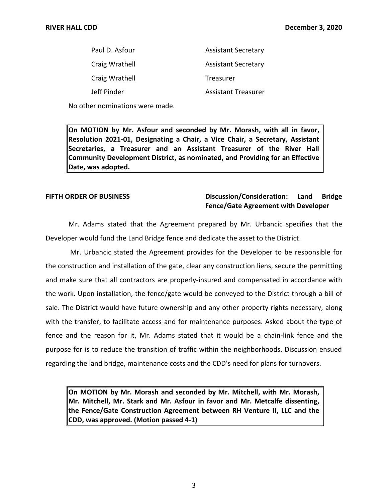| Paul D. Asfour | <b>Assistant Secretary</b> |
|----------------|----------------------------|
| Craig Wrathell | <b>Assistant Secretary</b> |
| Craig Wrathell | Treasurer                  |
| Jeff Pinder    | Assistant Treasurer        |

No other nominations were made.

 **On MOTION by Mr. Asfour and seconded by Mr. Morash, with all in favor, Resolution 2021-01, Designating a Chair, a Vice Chair, a Secretary, Assistant Secretaries, a Treasurer and an Assistant Treasurer of the River Hall Community Development District, as nominated, and Providing for an Effective Date, was adopted.** 

# **FIFTH ORDER OF BUSINESS** Discussion/Consideration: Land Bridge **Fence/Gate Agreement with Developer**

 Mr. Adams stated that the Agreement prepared by Mr. Urbancic specifies that the Developer would fund the Land Bridge fence and dedicate the asset to the District.

 Mr. Urbancic stated the Agreement provides for the Developer to be responsible for the construction and installation of the gate, clear any construction liens, secure the permitting and make sure that all contractors are properly-insured and compensated in accordance with the work. Upon installation, the fence/gate would be conveyed to the District through a bill of sale. The District would have future ownership and any other property rights necessary, along with the transfer, to facilitate access and for maintenance purposes. Asked about the type of fence and the reason for it, Mr. Adams stated that it would be a chain-link fence and the purpose for is to reduce the transition of traffic within the neighborhoods. Discussion ensued regarding the land bridge, maintenance costs and the CDD's need for plans for turnovers.

 **On MOTION by Mr. Morash and seconded by Mr. Mitchell, with Mr. Morash, Mr. Mitchell, Mr. Stark and Mr. Asfour in favor and Mr. Metcalfe dissenting, the Fence/Gate Construction Agreement between RH Venture II, LLC and the CDD, was approved. (Motion passed 4-1)**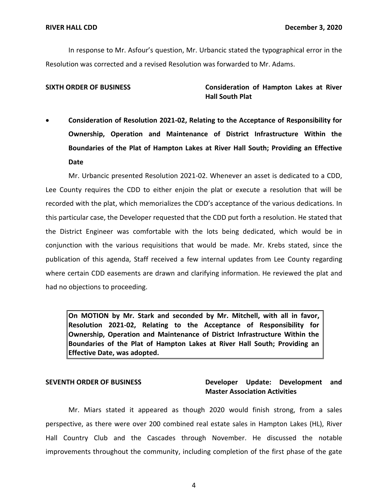In response to Mr. Asfour's question, Mr. Urbancic stated the typographical error in the Resolution was corrected and a revised Resolution was forwarded to Mr. Adams.

 **SIXTH ORDER OF BUSINESS Consideration of Hampton Lakes at River Hall South Plat** 

 • **Consideration of Resolution 2021-02, Relating to the Acceptance of Responsibility for Ownership, Operation and Maintenance of District Infrastructure Within the Boundaries of the Plat of Hampton Lakes at River Hall South; Providing an Effective Date** 

 Mr. Urbancic presented Resolution 2021-02. Whenever an asset is dedicated to a CDD, Lee County requires the CDD to either enjoin the plat or execute a resolution that will be recorded with the plat, which memorializes the CDD's acceptance of the various dedications. In this particular case, the Developer requested that the CDD put forth a resolution. He stated that the District Engineer was comfortable with the lots being dedicated, which would be in publication of this agenda, Staff received a few internal updates from Lee County regarding where certain CDD easements are drawn and clarifying information. He reviewed the plat and conjunction with the various requisitions that would be made. Mr. Krebs stated, since the had no objections to proceeding.

 **On MOTION by Mr. Stark and seconded by Mr. Mitchell, with all in favor, Resolution 2021-02, Relating to the Acceptance of Responsibility for Ownership, Operation and Maintenance of District Infrastructure Within the Boundaries of the Plat of Hampton Lakes at River Hall South; Providing an Effective Date, was adopted.** 

# SEVENTH ORDER OF BUSINESS **Developer Update: Development and Master Association Activities**

 perspective, as there were over 200 combined real estate sales in Hampton Lakes (HL), River improvements throughout the community, including completion of the first phase of the gate Mr. Miars stated it appeared as though 2020 would finish strong, from a sales Hall Country Club and the Cascades through November. He discussed the notable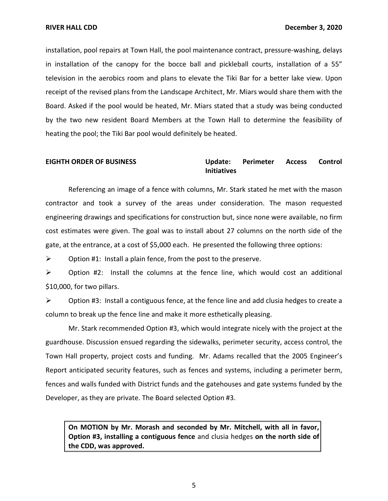in installation of the canopy for the bocce ball and pickleball courts, installation of a 55" television in the aerobics room and plans to elevate the Tiki Bar for a better lake view. Upon receipt of the revised plans from the Landscape Architect, Mr. Miars would share them with the Board. Asked if the pool would be heated, Mr. Miars stated that a study was being conducted by the two new resident Board Members at the Town Hall to determine the feasibility of heating the pool; the Tiki Bar pool would definitely be heated. installation, pool repairs at Town Hall, the pool maintenance contract, pressure-washing, delays

### **Perimeter EIGHTH ORDER OF BUSINESS Update: Perimeter Access Control Initiatives**

 Referencing an image of a fence with columns, Mr. Stark stated he met with the mason cost estimates were given. The goal was to install about 27 columns on the north side of the gate, at the entrance, at a cost of \$5,000 each. He presented the following three options: contractor and took a survey of the areas under consideration. The mason requested engineering drawings and specifications for construction but, since none were available, no firm

 $\triangleright$  Option #1: Install a plain fence, from the post to the preserve.

 $\triangleright$  Option #2: Install the columns at the fence line, which would cost an additional \$10,000, for two pillars.

 $\triangleright$  Option #3: Install a contiguous fence, at the fence line and add clusia hedges to create a column to break up the fence line and make it more esthetically pleasing.

 Mr. Stark recommended Option #3, which would integrate nicely with the project at the guardhouse. Discussion ensued regarding the sidewalks, perimeter security, access control, the Town Hall property, project costs and funding. Mr. Adams recalled that the 2005 Engineer's Report anticipated security features, such as fences and systems, including a perimeter berm, fences and walls funded with District funds and the gatehouses and gate systems funded by the Developer, as they are private. The Board selected Option #3.

 **On MOTION by Mr. Morash and seconded by Mr. Mitchell, with all in favor, Option #3, installing a contiguous fence** and clusia hedges **on the north side of the CDD, was approved.**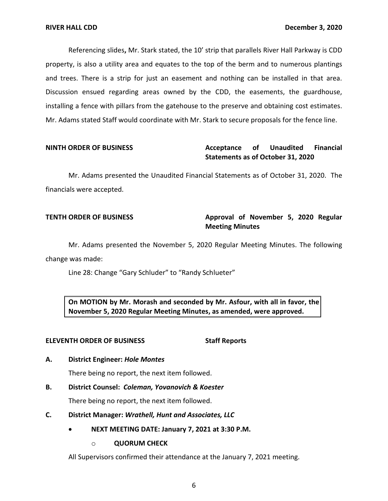Referencing slides**,** Mr. Stark stated, the 10' strip that parallels River Hall Parkway is CDD property, is also a utility area and equates to the top of the berm and to numerous plantings and trees. There is a strip for just an easement and nothing can be installed in that area. Discussion ensued regarding areas owned by the CDD, the easements, the guardhouse, installing a fence with pillars from the gatehouse to the preserve and obtaining cost estimates. Mr. Adams stated Staff would coordinate with Mr. Stark to secure proposals for the fence line.

### **Acceptance Statements as of October 31, 2020 NINTH ORDER OF BUSINESS Acceptance of Unaudited Financial**

 Mr. Adams presented the Unaudited Financial Statements as of October 31, 2020. The financials were accepted.

# **TENTH ORDER OF BUSINESS Approval of November 5, 2020 Regular Meeting Minutes**

Mr. Adams presented the November 5, 2020 Regular Meeting Minutes. The following change was made:

Line 28: Change "Gary Schluder" to "Randy Schlueter"

 **On MOTION by Mr. Morash and seconded by Mr. Asfour, with all in favor, the November 5, 2020 Regular Meeting Minutes, as amended, were approved.** 

### **ELEVENTH ORDER OF BUSINESS** Staff Reports

# **A. District Engineer:** *Hole Montes*

There being no report, the next item followed.

## **B. District Counsel:** *Coleman, Yovanovich & Koester*

There being no report, the next item followed.

### **C. District Manager:** *Wrathell, Hunt and Associates, LLC*

- **NEXT MEETING DATE: January 7, 2021 at 3:30 P.M.** 
	- o **QUORUM CHECK**

All Supervisors confirmed their attendance at the January 7, 2021 meeting.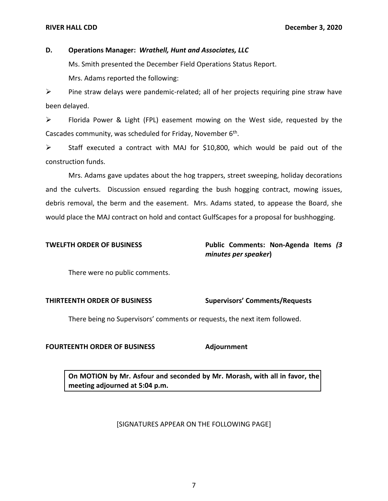### **D. Operations Manager:** *Wrathell, Hunt and Associates, LLC*

Ms. Smith presented the December Field Operations Status Report.

Mrs. Adams reported the following:

 $\triangleright$  Pine straw delays were pandemic-related; all of her projects requiring pine straw have been delayed.

 ➢ Florida Power & Light (FPL) easement mowing on the West side, requested by the Cascades community, was scheduled for Friday, November 6<sup>th</sup>.

 ➢ Staff executed a contract with MAJ for \$10,800, which would be paid out of the construction funds.

 and the culverts. Discussion ensued regarding the bush hogging contract, mowing issues, would place the MAJ contract on hold and contact GulfScapes for a proposal for bushhogging. Mrs. Adams gave updates about the hog trappers, street sweeping, holiday decorations debris removal, the berm and the easement. Mrs. Adams stated, to appease the Board, she

# **TWELFTH ORDER OF BUSINESS Public Comments: Non-Agenda Items** *(3 minutes per speaker***)**

There were no public comments.

# **THIRTEENTH ORDER OF BUSINESS Supervisors' Comments/Requests**

There being no Supervisors' comments or requests, the next item followed.

## **FOURTEENTH ORDER OF BUSINESS Adjournment**

 **On MOTION by Mr. Asfour and seconded by Mr. Morash, with all in favor, the meeting adjourned at 5:04 p.m.** 

# [SIGNATURES APPEAR ON THE FOLLOWING PAGE]